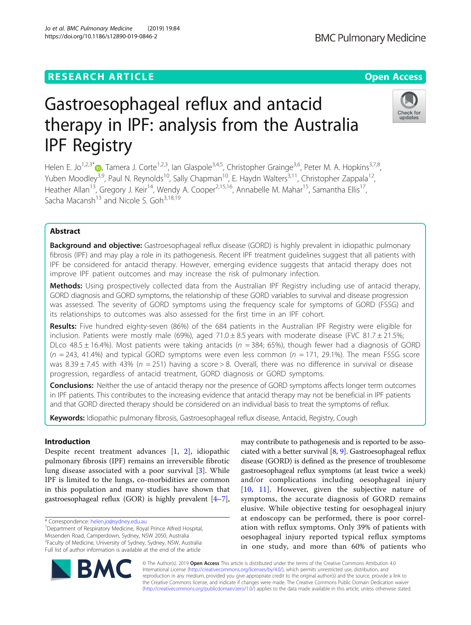## **RESEARCH ARTICLE Example 2014 12:30 The Open Access**

# Gastroesophageal reflux and antacid therapy in IPF: analysis from the Australia IPF Registry

Helen E. Jo<sup>1[,](http://orcid.org/0000-0003-1183-2729)2,3\*</sup> **o**, Tamera J. Corte<sup>1,2,3</sup>, Ian Glaspole<sup>3,4,5</sup>, Christopher Grainge<sup>3,6</sup>, Peter M. A. Hopkins<sup>3,7,8</sup>, Yuben Moodley<sup>3,9</sup>, Paul N. Reynolds<sup>10</sup>, Sally Chapman<sup>10</sup>, E. Haydn Walters<sup>3,11</sup>, Christopher Zappala<sup>12</sup>, Heather Allan<sup>13</sup>, Gregory J. Keir<sup>14</sup>, Wendy A. Cooper<sup>2,15,16</sup>, Annabelle M. Mahar<sup>15</sup>, Samantha Ellis<sup>17</sup>, Sacha Macansh<sup>13</sup> and Nicole S. Goh<sup>3,18,19</sup>

## Abstract

**Background and objective:** Gastroesophageal reflux disease (GORD) is highly prevalent in idiopathic pulmonary fibrosis (IPF) and may play a role in its pathogenesis. Recent IPF treatment guidelines suggest that all patients with IPF be considered for antacid therapy. However, emerging evidence suggests that antacid therapy does not improve IPF patient outcomes and may increase the risk of pulmonary infection.

Methods: Using prospectively collected data from the Australian IPF Registry including use of antacid therapy, GORD diagnosis and GORD symptoms, the relationship of these GORD variables to survival and disease progression was assessed. The severity of GORD symptoms using the frequency scale for symptoms of GORD (FSSG) and its relationships to outcomes was also assessed for the first time in an IPF cohort.

Results: Five hundred eighty-seven (86%) of the 684 patients in the Australian IPF Registry were eligible for inclusion. Patients were mostly male (69%), aged  $71.0 \pm 8.5$  years with moderate disease (FVC 81.7  $\pm$  21.5%; DLco 48.5  $\pm$  16.4%). Most patients were taking antacids ( $n = 384$ ; 65%), though fewer had a diagnosis of GORD  $(n = 243, 41.4%)$  and typical GORD symptoms were even less common  $(n = 171, 29.1%)$ . The mean FSSG score was 8.39  $\pm$  7.45 with 43% (n = 251) having a score > 8. Overall, there was no difference in survival or disease progression, regardless of antacid treatment, GORD diagnosis or GORD symptoms.

**Conclusions:** Neither the use of antacid therapy nor the presence of GORD symptoms affects longer term outcomes in IPF patients. This contributes to the increasing evidence that antacid therapy may not be beneficial in IPF patients and that GORD directed therapy should be considered on an individual basis to treat the symptoms of reflux.

Keywords: Idiopathic pulmonary fibrosis, Gastroesophageal reflux disease, Antacid, Registry, Cough

## Introduction

Despite recent treatment advances [\[1](#page-6-0), [2\]](#page-6-0), idiopathic pulmonary fibrosis (IPF) remains an irreversible fibrotic lung disease associated with a poor survival [\[3](#page-6-0)]. While IPF is limited to the lungs, co-morbidities are common in this population and many studies have shown that gastroesophageal reflux (GOR) is highly prevalent [[4](#page-6-0)–[7](#page-6-0)],

\* Correspondence: [helen.jo@sydney.edu.au](mailto:helen.jo@sydney.edu.au) <sup>1</sup>

<sup>1</sup>Department of Respiratory Medicine, Royal Prince Alfred Hospital, Missenden Road, Camperdown, Sydney, NSW 2050, Australia 2 Faculty of Medicine, University of Sydney, Sydney, NSW, Australia

Full list of author information is available at the end of the article

© The Author(s). 2019 **Open Access** This article is distributed under the terms of the Creative Commons Attribution 4.0 International License [\(http://creativecommons.org/licenses/by/4.0/](http://creativecommons.org/licenses/by/4.0/)), which permits unrestricted use, distribution, and reproduction in any medium, provided you give appropriate credit to the original author(s) and the source, provide a link to the Creative Commons license, and indicate if changes were made. The Creative Commons Public Domain Dedication waiver [\(http://creativecommons.org/publicdomain/zero/1.0/](http://creativecommons.org/publicdomain/zero/1.0/)) applies to the data made available in this article, unless otherwise stated.

ciated with a better survival  $[8, 9]$  $[8, 9]$  $[8, 9]$ . Gastroesophageal reflux disease (GORD) is defined as the presence of troublesome gastroesophageal reflux symptoms (at least twice a week) and/or complications including oesophageal injury [[10](#page-6-0), [11\]](#page-6-0). However, given the subjective nature of symptoms, the accurate diagnosis of GORD remains elusive. While objective testing for oesophageal injury at endoscopy can be performed, there is poor correlation with reflux symptoms. Only 39% of patients with oesophageal injury reported typical reflux symptoms in one study, and more than 60% of patients who

may contribute to pathogenesis and is reported to be asso-





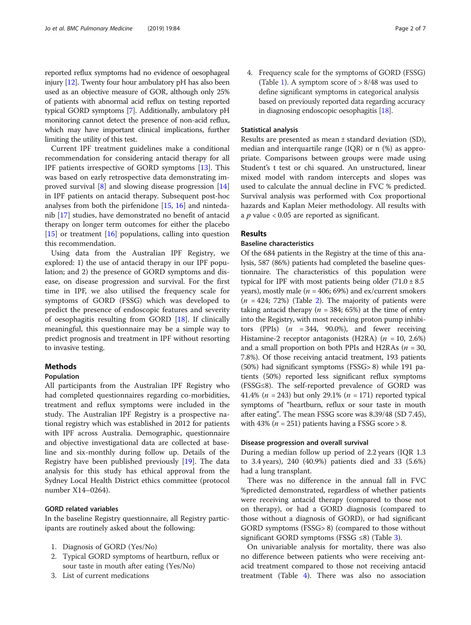reported reflux symptoms had no evidence of oesophageal injury [\[12\]](#page-6-0). Twenty four hour ambulatory pH has also been used as an objective measure of GOR, although only 25% of patients with abnormal acid reflux on testing reported typical GORD symptoms [\[7](#page-6-0)]. Additionally, ambulatory pH monitoring cannot detect the presence of non-acid reflux, which may have important clinical implications, further limiting the utility of this test.

Current IPF treatment guidelines make a conditional recommendation for considering antacid therapy for all IPF patients irrespective of GORD symptoms [[13](#page-6-0)]. This was based on early retrospective data demonstrating improved survival  $\lceil 8 \rceil$  and slowing disease progression  $\lceil 14 \rceil$  $\lceil 14 \rceil$  $\lceil 14 \rceil$ in IPF patients on antacid therapy. Subsequent post-hoc analyses from both the pirfenidone [[15,](#page-6-0) [16\]](#page-6-0) and nintedanib [[17\]](#page-6-0) studies, have demonstrated no benefit of antacid therapy on longer term outcomes for either the placebo [[15\]](#page-6-0) or treatment [\[16](#page-6-0)] populations, calling into question this recommendation.

Using data from the Australian IPF Registry, we explored: 1) the use of antacid therapy in our IPF population; and 2) the presence of GORD symptoms and disease, on disease progression and survival. For the first time in IPF, we also utilised the frequency scale for symptoms of GORD (FSSG) which was developed to predict the presence of endoscopic features and severity of oesophagitis resulting from GORD [\[18](#page-6-0)]. If clinically meaningful, this questionnaire may be a simple way to predict prognosis and treatment in IPF without resorting to invasive testing.

## Methods

## Population

All participants from the Australian IPF Registry who had completed questionnaires regarding co-morbidities, treatment and reflux symptoms were included in the study. The Australian IPF Registry is a prospective national registry which was established in 2012 for patients with IPF across Australia. Demographic, questionnaire and objective investigational data are collected at baseline and six-monthly during follow up. Details of the Registry have been published previously [\[19](#page-6-0)]. The data analysis for this study has ethical approval from the Sydney Local Health District ethics committee (protocol number X14–0264).

## GORD related variables

In the baseline Registry questionnaire, all Registry participants are routinely asked about the following:

- 1. Diagnosis of GORD (Yes/No)
- 2. Typical GORD symptoms of heartburn, reflux or sour taste in mouth after eating (Yes/No)
- 3. List of current medications

4. Frequency scale for the symptoms of GORD (FSSG) (Table [1\)](#page-2-0). A symptom score of  $> 8/48$  was used to define significant symptoms in categorical analysis based on previously reported data regarding accuracy in diagnosing endoscopic oesophagitis [\[18\]](#page-6-0).

#### Statistical analysis

Results are presented as mean ± standard deviation (SD), median and interquartile range (IQR) or n (%) as appropriate. Comparisons between groups were made using Student's t test or chi squared. An unstructured, linear mixed model with random intercepts and slopes was used to calculate the annual decline in FVC % predicted. Survival analysis was performed with Cox proportional hazards and Kaplan Meier methodology. All results with a  $p$  value < 0.05 are reported as significant.

### Results

#### Baseline characteristics

Of the 684 patients in the Registry at the time of this analysis, 587 (86%) patients had completed the baseline questionnaire. The characteristics of this population were typical for IPF with most patients being older  $(71.0 \pm 8.5)$ years), mostly male ( $n = 406$ ; 69%) and ex/current smokers  $(n = 424; 72%)$  (Table [2\)](#page-2-0). The majority of patients were taking antacid therapy ( $n = 384$ ; 65%) at the time of entry into the Registry, with most receiving proton pump inhibitors (PPIs)  $(n = 344, 90.0\%)$ , and fewer receiving Histamine-2 receptor antagonists (H2RA) ( $n = 10, 2.6\%$ ) and a small proportion on both PPIs and H2RAs ( $n = 30$ , 7.8%). Of those receiving antacid treatment, 193 patients (50%) had significant symptoms (FSSG> 8) while 191 patients (50%) reported less significant reflux symptoms (FSSG≤8). The self-reported prevalence of GORD was 41.4% ( $n = 243$ ) but only 29.1% ( $n = 171$ ) reported typical symptoms of "heartburn, reflux or sour taste in mouth after eating". The mean FSSG score was 8.39/48 (SD 7.45), with 43% ( $n = 251$ ) patients having a FSSG score > 8.

#### Disease progression and overall survival

During a median follow up period of 2.2 years (IQR 1.3 to 3.4 years), 240 (40.9%) patients died and 33 (5.6%) had a lung transplant.

There was no difference in the annual fall in FVC %predicted demonstrated, regardless of whether patients were receiving antacid therapy (compared to those not on therapy), or had a GORD diagnosis (compared to those without a diagnosis of GORD), or had significant GORD symptoms (FSSG> 8) (compared to those without significant GORD symptoms (FSSG ≤8) (Table [3](#page-3-0)).

On univariable analysis for mortality, there was also no difference between patients who were receiving antacid treatment compared to those not receiving antacid treatment (Table [4\)](#page-3-0). There was also no association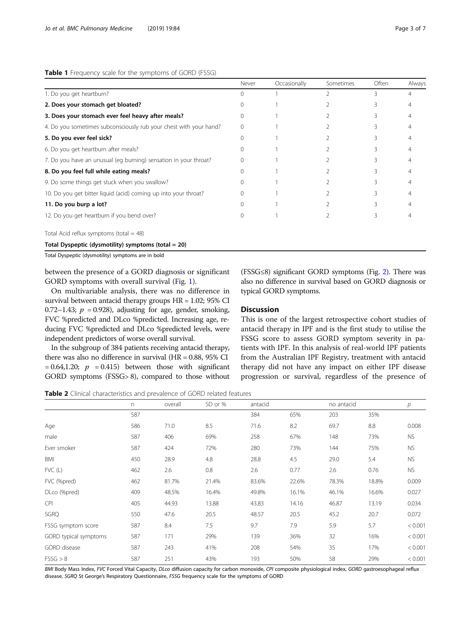#### <span id="page-2-0"></span>Table 1 Frequency scale for the symptoms of GORD (FSSG)

|                                                                   | Never    | Occasionally | Sometimes      | Often | Always |
|-------------------------------------------------------------------|----------|--------------|----------------|-------|--------|
| 1. Do you get heartburn?                                          | $\cap$   |              | $\mathfrak{D}$ | ζ     | 4      |
| 2. Does your stomach get bloated?                                 | 0        |              |                | 3     |        |
| 3. Does your stomach ever feel heavy after meals?                 | $\Omega$ |              |                | 3     |        |
| 4. Do you sometimes subconsciously rub your chest with your hand? | $\Omega$ |              |                | ζ     |        |
| 5. Do you ever feel sick?                                         | 0        |              | 2              | 3     |        |
| 6. Do you get heartburn after meals?                              | $\Omega$ |              |                | 3     |        |
| 7. Do you have an unusual (eq burning) sensation in your throat?  |          |              |                |       |        |
| 8. Do you feel full while eating meals?                           | 0        |              |                |       |        |
| 9. Do some things get stuck when you swallow?                     | $\Omega$ |              |                | 3     |        |
| 10. Do you get bitter liquid (acid) coming up into your throat?   |          |              |                |       |        |
| 11. Do you burp a lot?                                            | ∩        |              |                | 3     |        |
| 12. Do you get heartburn if you bend over?                        | 0        |              | $\mathfrak{D}$ | 3     |        |
| Total Acid reflux symptoms (total $=$ 48)                         |          |              |                |       |        |
| Total Dyspeptic (dysmotility) symptoms (total = 20)               |          |              |                |       |        |
| Tatal Democratic (democratible) according to a control bald       |          |              |                |       |        |

Total Dyspeptic (dysmotility) symptoms are in bold

between the presence of a GORD diagnosis or significant GORD symptoms with overall survival (Fig. [1\)](#page-3-0).

On multivariable analysis, there was no difference in survival between antacid therapy groups  $HR = 1.02$ ; 95% CI 0.72–1.43;  $p = 0.928$ , adjusting for age, gender, smoking, FVC %predicted and DLco %predicted. Increasing age, reducing FVC %predicted and DLco %predicted levels, were independent predictors of worse overall survival.

In the subgroup of 384 patients receiving antacid therapy, there was also no difference in survival (HR = 0.88, 95% CI  $= 0.64, 1.20; p = 0.415$  between those with significant GORD symptoms (FSSG> 8), compared to those without (FSSG≤8) significant GORD symptoms (Fig. [2\)](#page-4-0). There was also no difference in survival based on GORD diagnosis or typical GORD symptoms.

## **Discussion**

This is one of the largest retrospective cohort studies of antacid therapy in IPF and is the first study to utilise the FSSG score to assess GORD symptom severity in patients with IPF. In this analysis of real-world IPF patients from the Australian IPF Registry, treatment with antacid therapy did not have any impact on either IPF disease progression or survival, regardless of the presence of

Table 2 Clinical characteristics and prevalence of GORD related features

|                       | n   | overall | SD or % | antacid |       | no antacid |       | $\overline{p}$ |
|-----------------------|-----|---------|---------|---------|-------|------------|-------|----------------|
|                       | 587 |         |         | 384     | 65%   | 203        | 35%   |                |
| Age                   | 586 | 71.0    | 8.5     | 71.6    | 8.2   | 69.7       | 8.8   | 0.008          |
| male                  | 587 | 406     | 69%     | 258     | 67%   | 148        | 73%   | <b>NS</b>      |
| Ever smoker           | 587 | 424     | 72%     | 280     | 73%   | 144        | 75%   | <b>NS</b>      |
| <b>BMI</b>            | 450 | 28.9    | 4.8     | 28.8    | 4.5   | 29.0       | 5.4   | <b>NS</b>      |
| $FVC$ (L)             | 462 | 2.6     | 0.8     | 2.6     | 0.77  | 2.6        | 0.76  | <b>NS</b>      |
| FVC (%pred)           | 462 | 81.7%   | 21.4%   | 83.6%   | 22.6% | 78.3%      | 18.8% | 0.009          |
| DLco (%pred)          | 409 | 48.5%   | 16.4%   | 49.8%   | 16.1% | 46.1%      | 16.6% | 0.027          |
| <b>CPI</b>            | 405 | 44.93   | 13.88   | 43.83   | 14.16 | 46.87      | 13.19 | 0.034          |
| SGRQ                  | 550 | 47.6    | 20.5    | 48.57   | 20.5  | 45.2       | 20.7  | 0.072          |
| FSSG symptom score    | 587 | 8.4     | 7.5     | 9.7     | 7.9   | 5.9        | 5.7   | < 0.001        |
| GORD typical symptoms | 587 | 171     | 29%     | 139     | 36%   | 32         | 16%   | < 0.001        |
| GORD disease          | 587 | 243     | 41%     | 208     | 54%   | 35         | 17%   | < 0.001        |
| FSSG > 8              | 587 | 251     | 43%     | 193     | 50%   | 58         | 29%   | < 0.001        |

BMI Body Mass Index, FVC Forced Vital Capacity, DLco diffusion capacity for carbon monoxide, CPI composite physiological index, GORD gastroesophageal reflux disease, SGRQ St George's Respiratory Questionnaire, FSSG frequency scale for the symptoms of GORD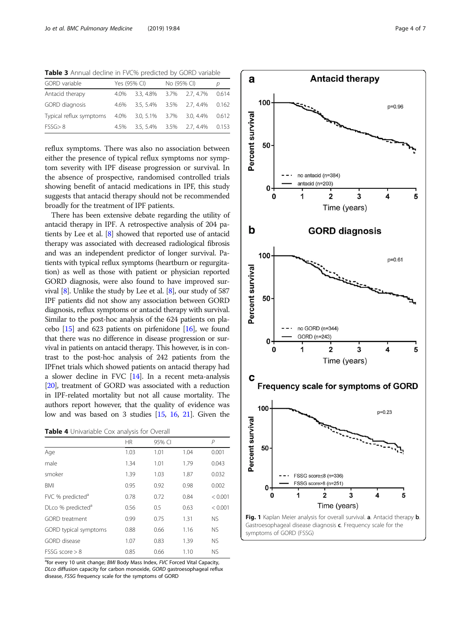<span id="page-3-0"></span>Table 3 Annual decline in FVC% predicted by GORD variable

| GORD variable           |         | Yes (95% CI)   | No (95% CI) |                 | D     |  |
|-------------------------|---------|----------------|-------------|-----------------|-------|--|
| Antacid therapy         | $4.0\%$ | 3.3.4.8%       | 3.7%        | 2.7.4.7%        | 0.614 |  |
| GORD diagnosis          | 4.6%    | 3.5, 5.4%      |             | 3.5% 2.7.4.4%   | 0.162 |  |
| Typical reflux symptoms | 4.0%    | 3.0. 5.1%      | 3.7%        | 3.0.4.4%        | 0.612 |  |
| FSSG > 8                | 4.5%    | 3.5, 5.4% 3.5% |             | 2.7, 4.4% 0.153 |       |  |

reflux symptoms. There was also no association between either the presence of typical reflux symptoms nor symptom severity with IPF disease progression or survival. In the absence of prospective, randomised controlled trials showing benefit of antacid medications in IPF, this study suggests that antacid therapy should not be recommended broadly for the treatment of IPF patients.

There has been extensive debate regarding the utility of antacid therapy in IPF. A retrospective analysis of 204 patients by Lee et al. [\[8\]](#page-6-0) showed that reported use of antacid therapy was associated with decreased radiological fibrosis and was an independent predictor of longer survival. Patients with typical reflux symptoms (heartburn or regurgitation) as well as those with patient or physician reported GORD diagnosis, were also found to have improved survival [\[8\]](#page-6-0). Unlike the study by Lee et al. [\[8\]](#page-6-0), our study of 587 IPF patients did not show any association between GORD diagnosis, reflux symptoms or antacid therapy with survival. Similar to the post-hoc analysis of the 624 patients on placebo [[15](#page-6-0)] and 623 patients on pirfenidone [\[16\]](#page-6-0), we found that there was no difference in disease progression or survival in patients on antacid therapy. This however, is in contrast to the post-hoc analysis of 242 patients from the IPFnet trials which showed patients on antacid therapy had a slower decline in FVC [\[14](#page-6-0)]. In a recent meta-analysis [[20](#page-6-0)], treatment of GORD was associated with a reduction in IPF-related mortality but not all cause mortality. The authors report however, that the quality of evidence was low and was based on 3 studies [\[15,](#page-6-0) [16,](#page-6-0) [21\]](#page-6-0). Given the

| Table 4 Univariable Cox analysis for Overall |
|----------------------------------------------|
|----------------------------------------------|

|                               | <b>HR</b> | 95% CI |      | P         |
|-------------------------------|-----------|--------|------|-----------|
| Age                           | 1.03      | 1.01   | 1.04 | 0.001     |
| male                          | 1.34      | 1.01   | 1.79 | 0.043     |
| smoker                        | 1.39      | 1.03   | 1.87 | 0.032     |
| <b>BMI</b>                    | 0.95      | 0.92   | 0.98 | 0.002     |
| FVC % predicted <sup>a</sup>  | 0.78      | 0.72   | 0.84 | < 0.001   |
| DLco % predicted <sup>a</sup> | 0.56      | 0.5    | 0.63 | < 0.001   |
| <b>GORD</b> treatment         | 0.99      | 0.75   | 1.31 | NS.       |
| GORD typical symptoms         | 0.88      | 0.66   | 1.16 | <b>NS</b> |
| GORD disease                  | 1.07      | 0.83   | 1.39 | <b>NS</b> |
| FSSG score > 8                | 0.85      | 0.66   | 1.10 | <b>NS</b> |

<sup>a</sup>for every 10 unit change; BMI Body Mass Index, FVC Forced Vital Capacity, DLco diffusion capacity for carbon monoxide, GORD gastroesophageal reflux disease, FSSG frequency scale for the symptoms of GORD

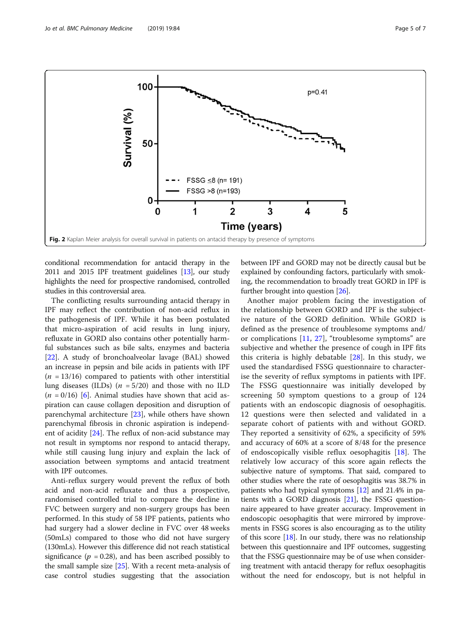<span id="page-4-0"></span>

conditional recommendation for antacid therapy in the 2011 and 2015 IPF treatment guidelines [[13](#page-6-0)], our study highlights the need for prospective randomised, controlled studies in this controversial area.

The conflicting results surrounding antacid therapy in IPF may reflect the contribution of non-acid reflux in the pathogenesis of IPF. While it has been postulated that micro-aspiration of acid results in lung injury, refluxate in GORD also contains other potentially harmful substances such as bile salts, enzymes and bacteria [[22\]](#page-6-0). A study of bronchoalveolar lavage (BAL) showed an increase in pepsin and bile acids in patients with IPF  $(n = 13/16)$  compared to patients with other interstitial lung diseases (ILDs) ( $n = 5/20$ ) and those with no ILD  $(n = 0/16)$  [\[6](#page-6-0)]. Animal studies have shown that acid aspiration can cause collagen deposition and disruption of parenchymal architecture [[23](#page-6-0)], while others have shown parenchymal fibrosis in chronic aspiration is independent of acidity [[24](#page-6-0)]. The reflux of non-acid substance may not result in symptoms nor respond to antacid therapy, while still causing lung injury and explain the lack of association between symptoms and antacid treatment with IPF outcomes.

Anti-reflux surgery would prevent the reflux of both acid and non-acid refluxate and thus a prospective, randomised controlled trial to compare the decline in FVC between surgery and non-surgery groups has been performed. In this study of 58 IPF patients, patients who had surgery had a slower decline in FVC over 48 weeks (50mLs) compared to those who did not have surgery (130mLs). However this difference did not reach statistical significance ( $p = 0.28$ ), and has been ascribed possibly to the small sample size [[25](#page-6-0)]. With a recent meta-analysis of case control studies suggesting that the association between IPF and GORD may not be directly causal but be explained by confounding factors, particularly with smoking, the recommendation to broadly treat GORD in IPF is further brought into question [\[26\]](#page-6-0).

Another major problem facing the investigation of the relationship between GORD and IPF is the subjective nature of the GORD definition. While GORD is defined as the presence of troublesome symptoms and/ or complications  $[11, 27]$  $[11, 27]$  $[11, 27]$ , "troublesome symptoms" are subjective and whether the presence of cough in IPF fits this criteria is highly debatable [[28\]](#page-6-0). In this study, we used the standardised FSSG questionnaire to characterise the severity of reflux symptoms in patients with IPF. The FSSG questionnaire was initially developed by screening 50 symptom questions to a group of 124 patients with an endoscopic diagnosis of oesophagitis. 12 questions were then selected and validated in a separate cohort of patients with and without GORD. They reported a sensitivity of 62%, a specificity of 59% and accuracy of 60% at a score of 8/48 for the presence of endoscopically visible reflux oesophagitis [[18\]](#page-6-0). The relatively low accuracy of this score again reflects the subjective nature of symptoms. That said, compared to other studies where the rate of oesophagitis was 38.7% in patients who had typical symptoms [\[12\]](#page-6-0) and 21.4% in patients with a GORD diagnosis [\[21\]](#page-6-0), the FSSG questionnaire appeared to have greater accuracy. Improvement in endoscopic oesophagitis that were mirrored by improvements in FSSG scores is also encouraging as to the utility of this score  $[18]$ . In our study, there was no relationship between this questionnaire and IPF outcomes, suggesting that the FSSG questionnaire may be of use when considering treatment with antacid therapy for reflux oesophagitis without the need for endoscopy, but is not helpful in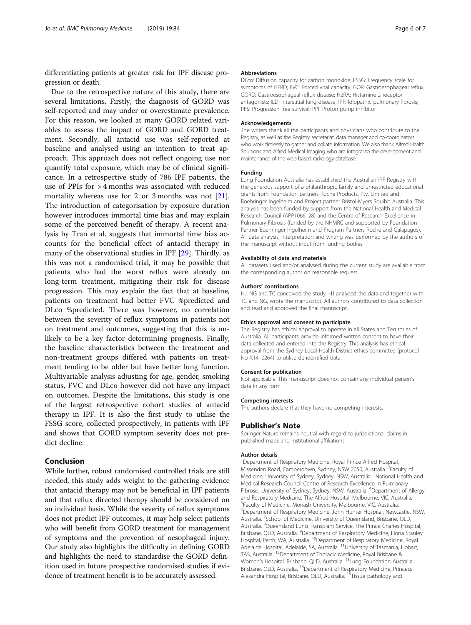differentiating patients at greater risk for IPF disease progression or death.

Due to the retrospective nature of this study, there are several limitations. Firstly, the diagnosis of GORD was self-reported and may under or overestimate prevalence. For this reason, we looked at many GORD related variables to assess the impact of GORD and GORD treatment. Secondly, all antacid use was self-reported at baseline and analysed using an intention to treat approach. This approach does not reflect ongoing use nor quantify total exposure, which may be of clinical significance. In a retrospective study of 786 IPF patients, the use of PPIs for > 4 months was associated with reduced mortality whereas use for 2 or 3 months was not [\[21](#page-6-0)]. The introduction of categorisation by exposure duration however introduces immortal time bias and may explain some of the perceived benefit of therapy. A recent analysis by Tran et al. suggests that immortal time bias accounts for the beneficial effect of antacid therapy in many of the observational studies in IPF [[29\]](#page-6-0). Thirdly, as this was not a randomised trial, it may be possible that patients who had the worst reflux were already on long-term treatment, mitigating their risk for disease progression. This may explain the fact that at baseline, patients on treatment had better FVC %predicted and DLco %predicted. There was however, no correlation between the severity of reflux symptoms in patients not on treatment and outcomes, suggesting that this is unlikely to be a key factor determining prognosis. Finally, the baseline characteristics between the treatment and non-treatment groups differed with patients on treatment tending to be older but have better lung function. Multivariable analysis adjusting for age, gender, smoking status, FVC and DLco however did not have any impact on outcomes. Despite the limitations, this study is one of the largest retrospective cohort studies of antacid therapy in IPF. It is also the first study to utilise the FSSG score, collected prospectively, in patients with IPF and shows that GORD symptom severity does not predict decline.

## Conclusion

While further, robust randomised controlled trials are still needed, this study adds weight to the gathering evidence that antacid therapy may not be beneficial in IPF patients and that reflux directed therapy should be considered on an individual basis. While the severity of reflux symptoms does not predict IPF outcomes, it may help select patients who will benefit from GORD treatment for management of symptoms and the prevention of oesophageal injury. Our study also highlights the difficulty in defining GORD and highlights the need to standardise the GORD definition used in future prospective randomised studies if evidence of treatment benefit is to be accurately assessed.

#### Abbreviations

DLco: Diffusion capacity for carbon monoxide; FSSG: Frequency scale for symptoms of GERD; FVC: Forced vital capacity; GOR: Gastroesophageal reflux; GORD: Gastroesophageal reflux disease; H2RA: Histamine 2 receptor antagonists; ILD: Interstitial lung disease; IPF: Idiopathic pulmonary fibrosis; PFS: Progression free survival; PPI: Proton pump inhibitor

#### Acknowledgements

The writers thank all the participants and physicians who contribute to the Registry, as well as the Registry secretariat, data manager and co-coordinators who work tirelessly to gather and collate information. We also thank Alfred Health Solutions and Alfred Medical Imaging who are integral to the development and maintenance of the web-based radiology database.

#### Funding

Lung Foundation Australia has established the Australian IPF Registry with the generous support of a philanthropic family and unrestricted educational grants from Foundation partners Roche Products, Pty. Limited and Boehringer Ingelheim and Project partner Bristol-Myers Squibb Australia. This analysis has been funded by support from the National Health and Medical Research Council (APP1066128) and the Centre of Research Excellence in Pulmonary Fibrosis (funded by the NHMRC and supported by Foundation Partner Boehringer Ingelheim and Program Partners Roche and Galapagos). All data analysis, interpretation and writing was performed by the authors of the manuscript without input from funding bodies.

#### Availability of data and materials

All datasets used and/or analysed during the current study are available from the corresponding author on reasonable request.

#### Authors' contributions

HJ, NG and TC conceived the study. HJ analysed the data and together with TC and NG, wrote the manuscript. All authors contributed to data collection and read and approved the final manuscript.

#### Ethics approval and consent to participate

The Registry has ethical approval to operate in all States and Territories of Australia. All participants provide informed written consent to have their data collected and entered into the Registry. This analysis has ethical approval from the Sydney Local Health District ethics committee (protocol No X14–0264) to utilise de-identified data.

#### Consent for publication

Not applicable. This manuscript does not contain any individual person's data in any form.

#### Competing interests

The authors declare that they have no competing interests.

#### Publisher's Note

Springer Nature remains neutral with regard to jurisdictional claims in published maps and institutional affiliations.

#### Author details

<sup>1</sup>Department of Respiratory Medicine, Royal Prince Alfred Hospital Missenden Road, Camperdown, Sydney, NSW 2050, Australia. <sup>2</sup>Faculty of Medicine, University of Sydney, Sydney, NSW, Australia. <sup>3</sup>National Health and Medical Research Council Centre of Research Excellence in Pulmonary Fibrosis, University of Sydney, Sydney, NSW, Australia. <sup>4</sup>Department of Allergy and Respiratory Medicine, The Alfred Hospital, Melbourne, VIC, Australia. 5 Faculty of Medicine, Monash University, Melbourne, VIC, Australia. 6 Department of Respiratory Medicine, John Hunter Hospital, Newcastle, NSW, Australia. <sup>7</sup>School of Medicine, University of Queensland, Brisbane, QLD Australia. <sup>8</sup> Queensland Lung Transplant Service, The Prince Charles Hospital, Brisbane, QLD, Australia. <sup>9</sup>Department of Respiratory Medicine, Fiona Stanley Hospital, Perth, WA, Australia. <sup>10</sup>Department of Respiratory Medicine, Royal Adelaide Hospital, Adelaide, SA, Australia. <sup>11</sup>University of Tasmania, Hobart, TAS, Australia. <sup>12</sup>Department of Thoracic Medicine, Royal Brisbane & Women's Hospital, Brisbane, QLD, Australia. <sup>13</sup>Lung Foundation Australia, Brisbane, QLD, Australia. 14Department of Respiratory Medicine, Princess Alexandra Hospital, Brisbane, QLD, Australia. <sup>15</sup>Tissue pathology and